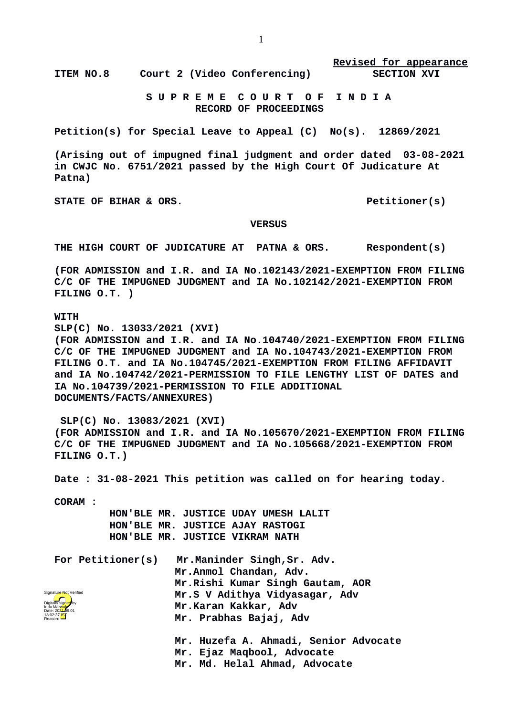**ITEM NO.8 Court 2 (Video Conferencing) SECTION XVI**

**Revised for appearance**

 **S U P R E M E C O U R T O F I N D I A RECORD OF PROCEEDINGS**

**Petition(s) for Special Leave to Appeal (C) No(s). 12869/2021**

**(Arising out of impugned final judgment and order dated 03-08-2021 in CWJC No. 6751/2021 passed by the High Court Of Judicature At Patna)**

STATE OF BIHAR & ORS. Petitioner(s)

## **VERSUS**

**THE HIGH COURT OF JUDICATURE AT PATNA & ORS. Respondent(s)**

**(FOR ADMISSION and I.R. and IA No.102143/2021-EXEMPTION FROM FILING C/C OF THE IMPUGNED JUDGMENT and IA No.102142/2021-EXEMPTION FROM FILING O.T. )**

**WITH**

**SLP(C) No. 13033/2021 (XVI)**

**(FOR ADMISSION and I.R. and IA No.104740/2021-EXEMPTION FROM FILING C/C OF THE IMPUGNED JUDGMENT and IA No.104743/2021-EXEMPTION FROM FILING O.T. and IA No.104745/2021-EXEMPTION FROM FILING AFFIDAVIT and IA No.104742/2021-PERMISSION TO FILE LENGTHY LIST OF DATES and IA No.104739/2021-PERMISSION TO FILE ADDITIONAL DOCUMENTS/FACTS/ANNEXURES)**

 **SLP(C) No. 13083/2021 (XVI) (FOR ADMISSION and I.R. and IA No.105670/2021-EXEMPTION FROM FILING C/C OF THE IMPUGNED JUDGMENT and IA No.105668/2021-EXEMPTION FROM FILING O.T.)**

**Date : 31-08-2021 This petition was called on for hearing today.**

**CORAM :** 

 **HON'BLE MR. JUSTICE UDAY UMESH LALIT HON'BLE MR. JUSTICE AJAY RASTOGI HON'BLE MR. JUSTICE VIKRAM NATH**

| For Petitioner(s)<br>Signature Not Verified<br>Digitally sig <mark>ned</mark> by<br>Indu Manyab<br>Date: 202 <del>1-</del> 09.01<br>18:02:37 <mark>1ST</mark><br>Reason: | Mr.Maninder Singh, Sr. Adv.<br>Mr.Anmol Chandan, Adv. |
|--------------------------------------------------------------------------------------------------------------------------------------------------------------------------|-------------------------------------------------------|
|                                                                                                                                                                          | Mr.Rishi Kumar Singh Gautam, AOR                      |
|                                                                                                                                                                          | Mr.S V Adithya Vidyasagar, Adv                        |
|                                                                                                                                                                          | Mr.Karan Kakkar, Adv                                  |
|                                                                                                                                                                          | Mr. Prabhas Bajaj, Adv                                |
|                                                                                                                                                                          | Mr. Huzefa A. Ahmadi, Senior Advocate                 |

**Mr. Ejaz Maqbool, Advocate**

**Mr. Md. Helal Ahmad, Advocate**